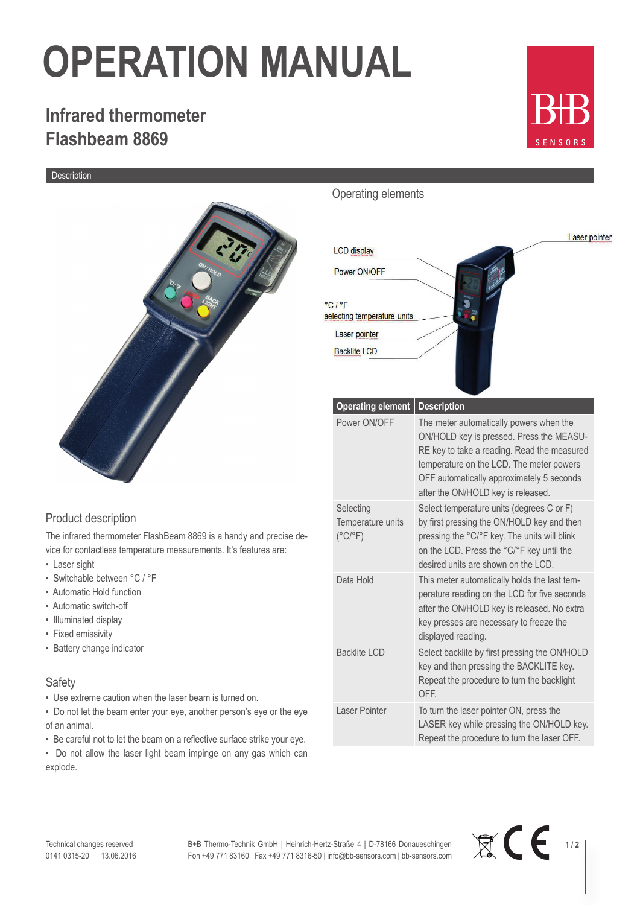# **OPERATION MANUAL**

### **Infrared thermometer Flashbeam 8869**

Description



### Operating elements



**E**  $\frac{1}{2}$ 

### Product description

The infrared thermometer FlashBeam 8869 is a handy and precise device for contactless temperature measurements. It's features are:

- Laser sight
- Switchable between °C / °F
- Automatic Hold function
- Automatic switch-off
- Illuminated display
- Fixed emissivity
- Battery change indicator

#### Safety

• Use extreme caution when the laser beam is turned on.

• Do not let the beam enter your eye, another person's eye or the eye of an animal.

• Be careful not to let the beam on a reflective surface strike your eye.

• Do not allow the laser light beam impinge on any gas which can explode.

B+B Thermo-Technik GmbH | Heinrich-Hertz-Straße 4 | D-78166 Donaueschingen Fon +49 771 83160 | Fax +49 771 8316-50 | info@bb-sensors.com | bb-sensors.com